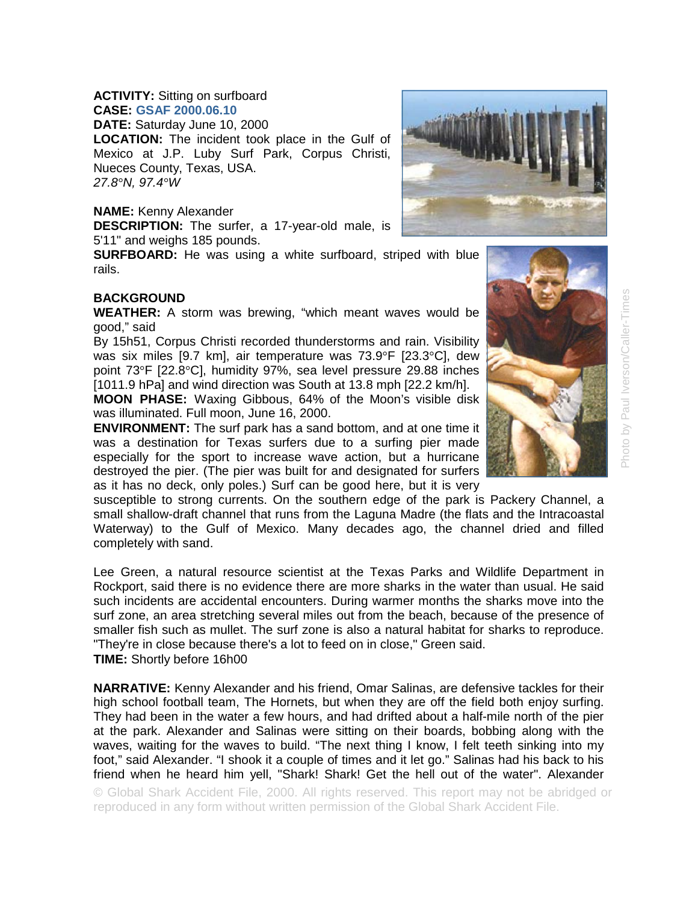## **ACTIVITY:** Sitting on surfboard **CASE: GSAF 2000.06.10**

**DATE:** Saturday June 10, 2000 **LOCATION:** The incident took place in the Gulf of Mexico at J.P. Luby Surf Park, Corpus Christi, Nueces County, Texas, USA. *27.8°N, 97.4°W* 

**NAME:** Kenny Alexander

**DESCRIPTION:** The surfer, a 17-year-old male, is 5'11" and weighs 185 pounds.

**SURFBOARD:** He was using a white surfboard, striped with blue rails.

## **BACKGROUND**

**WEATHER:** A storm was brewing, "which meant waves would be good," said

By 15h51, Corpus Christi recorded thunderstorms and rain. Visibility was six miles [9.7 km], air temperature was 73.9°F [23.3°C], dew point 73°F [22.8°C], humidity 97%, sea level pressure 29.88 inches [1011.9 hPa] and wind direction was South at 13.8 mph [22.2 km/h].

**MOON PHASE:** Waxing Gibbous, 64% of the Moon's visible disk was illuminated. Full moon, June 16, 2000.

**ENVIRONMENT:** The surf park has a sand bottom, and at one time it was a destination for Texas surfers due to a surfing pier made especially for the sport to increase wave action, but a hurricane destroyed the pier. (The pier was built for and designated for surfers as it has no deck, only poles.) Surf can be good here, but it is very

susceptible to strong currents. On the southern edge of the park is Packery Channel, a small shallow-draft channel that runs from the Laguna Madre (the flats and the Intracoastal Waterway) to the Gulf of Mexico. Many decades ago, the channel dried and filled completely with sand.

Lee Green, a natural resource scientist at the Texas Parks and Wildlife Department in Rockport, said there is no evidence there are more sharks in the water than usual. He said such incidents are accidental encounters. During warmer months the sharks move into the surf zone, an area stretching several miles out from the beach, because of the presence of smaller fish such as mullet. The surf zone is also a natural habitat for sharks to reproduce. "They're in close because there's a lot to feed on in close," Green said. **TIME:** Shortly before 16h00

**NARRATIVE:** Kenny Alexander and his friend, Omar Salinas, are defensive tackles for their high school football team, The Hornets, but when they are off the field both enjoy surfing. They had been in the water a few hours, and had drifted about a half-mile north of the pier at the park. Alexander and Salinas were sitting on their boards, bobbing along with the waves, waiting for the waves to build. "The next thing I know, I felt teeth sinking into my foot," said Alexander. "I shook it a couple of times and it let go." Salinas had his back to his friend when he heard him yell, "Shark! Shark! Get the hell out of the water". Alexander

© Global Shark Accident File, 2000. All rights reserved. This report may not be abridged or reproduced in any form without written permission of the Global Shark Accident File.